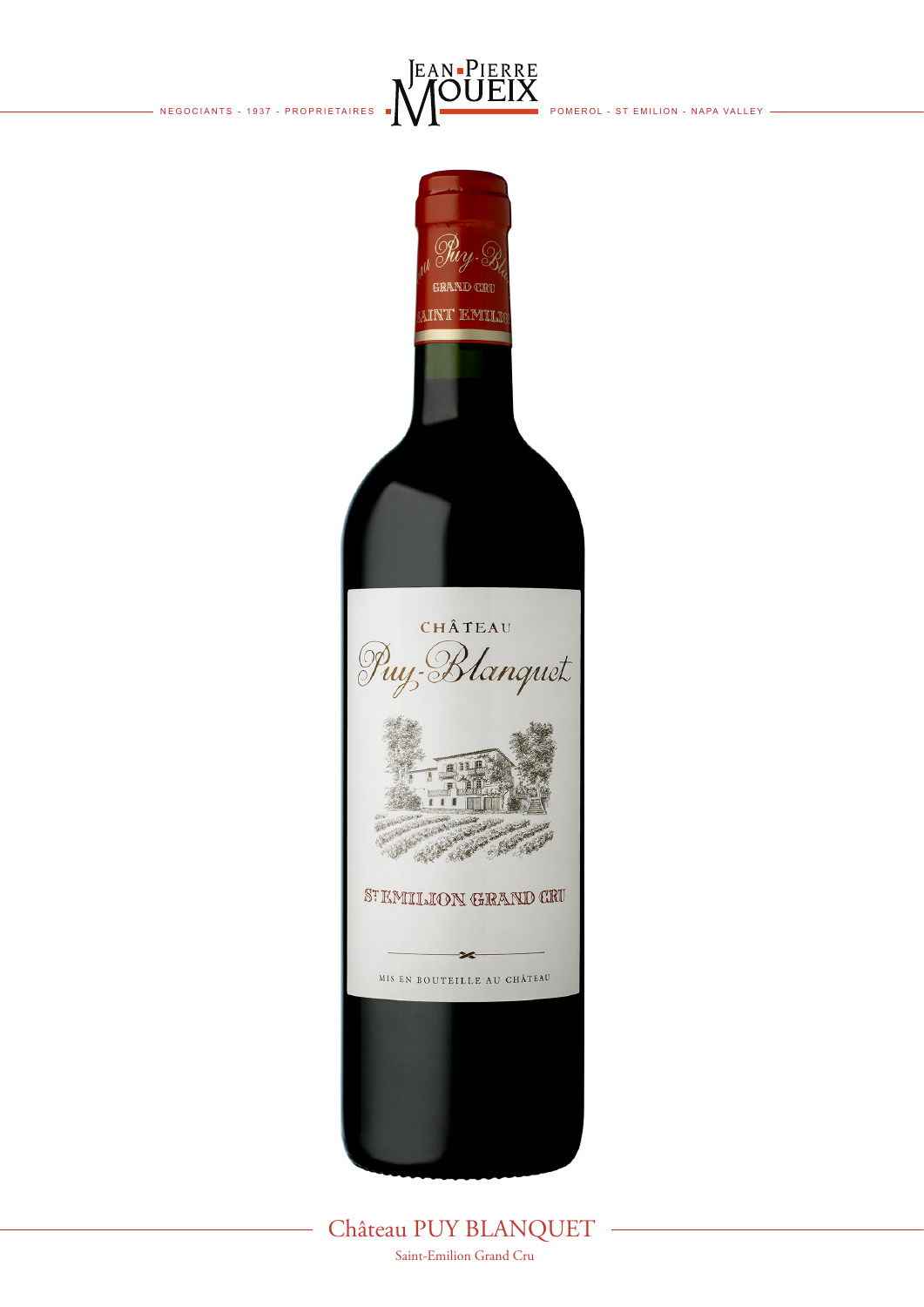



Château PUY BLANQUET Saint-Emilion Grand Cru